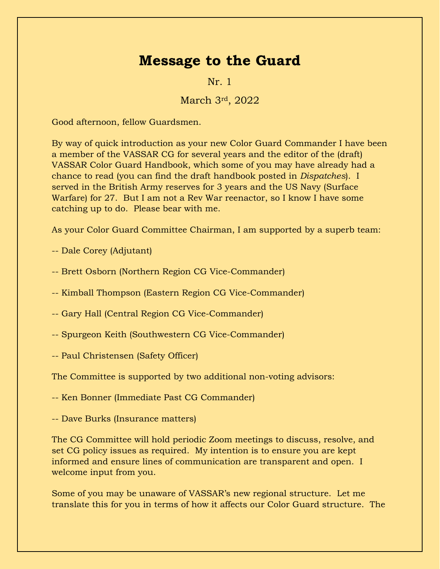## **Message to the Guard**

Nr. 1

March 3rd, 2022

Good afternoon, fellow Guardsmen.

By way of quick introduction as your new Color Guard Commander I have been a member of the VASSAR CG for several years and the editor of the (draft) VASSAR Color Guard Handbook, which some of you may have already had a chance to read (you can find the draft handbook posted in *Dispatches*). I served in the British Army reserves for 3 years and the US Navy (Surface Warfare) for 27. But I am not a Rev War reenactor, so I know I have some catching up to do. Please bear with me.

As your Color Guard Committee Chairman, I am supported by a superb team:

- -- Dale Corey (Adjutant)
- -- Brett Osborn (Northern Region CG Vice-Commander)
- -- Kimball Thompson (Eastern Region CG Vice-Commander)
- -- Gary Hall (Central Region CG Vice-Commander)
- -- Spurgeon Keith (Southwestern CG Vice-Commander)
- -- Paul Christensen (Safety Officer)

The Committee is supported by two additional non-voting advisors:

-- Ken Bonner (Immediate Past CG Commander)

-- Dave Burks (Insurance matters)

The CG Committee will hold periodic Zoom meetings to discuss, resolve, and set CG policy issues as required. My intention is to ensure you are kept informed and ensure lines of communication are transparent and open. I welcome input from you.

Some of you may be unaware of VASSAR's new regional structure. Let me translate this for you in terms of how it affects our Color Guard structure. The